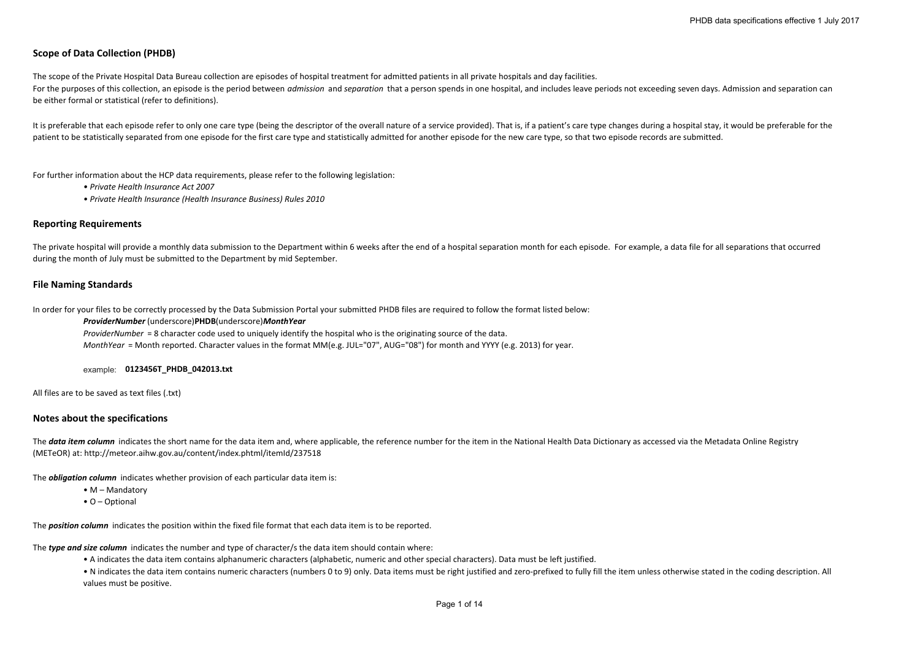# **Scope of Data Collection (PHDB)**

The scope of the Private Hospital Data Bureau collection are episodes of hospital treatment for admitted patients in all private hospitals and day facilities. For the purposes of this collection, an episode is the period between *admission* and separation that a person spends in one hospital, and includes leave periods not exceeding seven days. Admission and separation can be either formal or statistical (refer to definitions).

It is preferable that each episode refer to only one care type (being the descriptor of the overall nature of a service provided). That is, if a patient's care type changes during a hospital stay, it would be preferable fo patient to be statistically separated from one episode for the first care type and statistically admitted for another episode for the new care type, so that two episode records are submitted.

For further information about the HCP data requirements, please refer to the following legislation:

*• Private Health Insurance Act 2007*

*• Private Health Insurance (Health Insurance Business) Rules 2010*

# **Reporting Requirements**

The private hospital will provide a monthly data submission to the Department within 6 weeks after the end of a hospital separation month for each episode. For example, a data file for all separations that occurred during the month of July must be submitted to the Department by mid September.

# **File Naming Standards**

In order for your files to be correctly processed by the Data Submission Portal your submitted PHDB files are required to follow the format listed below:

#### *ProviderNumber* (underscore)**PHDB**(underscore)*MonthYear*

*ProviderNumber* <sup>=</sup> 8 character code used to uniquely identify the hospital who is the originating source of the data. *MonthYear* <sup>=</sup> Month reported. Character values in the format MM(e.g. JUL="07", AUG="08") for month and YYYY (e.g. 2013) for year.

### example: **0123456T\_PHDB\_042013.txt**

All files are to be saved as text files (.txt)

# **Notes about the specifications**

The data item column indicates the short name for the data item and, where applicable, the reference number for the item in the National Health Data Dictionary as accessed via the Metadata Online Registry (METeOR) at: http://meteor.aihw.gov.au/content/index.phtml/itemId/237518

The *obligation column* indicates whether provision of each particular data item is:

- M Mandatory
- O Optional

The *position column* indicates the position within the fixed file format that each data item is to be reported.

The *type and size column* indicates the number and type of character/s the data item should contain where:

• A indicates the data item contains alphanumeric characters (alphabetic, numeric and other special characters). Data must be left justified.

• N indicates the data item contains numeric characters (numbers 0 to 9) only. Data items must be right justified and zero-prefixed to fully fill the item unless otherwise stated in the coding description. All values must be positive.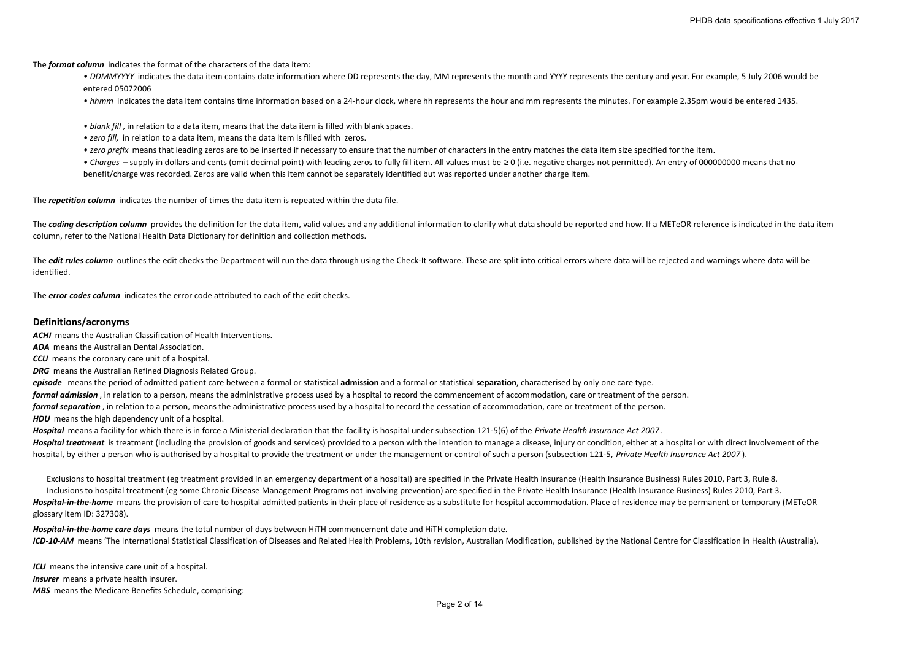The *format column* indicates the format of the characters of the data item:

• *DDMMYYYY* indicates the data item contains date information where DD represents the day, MM represents the month and YYYY represents the century and year. For example, 5 July 2006 would be entered 05072006

• hhmm indicates the data item contains time information based on a 24‐hour clock, where hh represents the hour and mm represents the minutes. For example 2.35pm would be entered 1435.

- *• blank fill* , in relation to <sup>a</sup> data item, means that the data item is filled with blank spaces.
- *• zero fill,* in relation to <sup>a</sup> data item, means the data item is filled with zeros.
- *• zero prefix* means that leading zeros are to be inserted if necessary to ensure that the number of characters in the entry matches the data item size specified for the item.

• *Charges* – supply in dollars and cents (omit decimal point) with leading zeros to fully fill item. All values must be ≥ 0 (i.e. negative charges not permitted). An entry of 000000000 means that no benefit/charge was recorded. Zeros are valid when this item cannot be separately identified but was reported under another charge item.

The *repetition column* indicates the number of times the data item is repeated within the data file.

The coding description column provides the definition for the data item, valid values and any additional information to clarify what data should be reported and how. If a METeOR reference is indicated in the data item column, refer to the National Health Data Dictionary for definition and collection methods.

The *edit rules column* outlines the edit checks the Department will run the data through using the Check-It software. These are split into critical errors where data will be rejected and warnings where data will be identified.

The *error codes column* indicates the error code attributed to each of the edit checks.

# **Definitions/acronyms**

*ACHI* means the Australian Classification of Health Interventions.

*ADA* means the Australian Dental Association.

*CCU* means the coronary care unit of <sup>a</sup> hospital.

*DRG* means the Australian Refined Diagnosis Related Group.

*episode* means the period of admitted patient care between <sup>a</sup> formal or statistical **admission** and <sup>a</sup> formal or statistical **separation**, characterised by only one care type. *formal admission* , in relation to <sup>a</sup> person, means the administrative process used by <sup>a</sup> hospital to record the commencement of accommodation, care or treatment of the person.

*formal separation* , in relation to <sup>a</sup> person, means the administrative process used by <sup>a</sup> hospital to record the cessation of accommodation, care or treatment of the person.

*HDU* means the high dependency unit of <sup>a</sup> hospital.

*Hospital* means <sup>a</sup> facility for which there is in force <sup>a</sup> Ministerial declaration that the facility is hospital under subsection 121‐5(6) of the *Private Health Insurance Act 2007* . Hospital treatment is treatment (including the provision of goods and services) provided to a person with the intention to manage a disease, injury or condition, either at a hospital or with direct involvement of the hospital, by either a person who is authorised by a hospital to provide the treatment or under the management or control of such a person (subsection 121-5, Private Health Insurance Act 2007).

Exclusions to hospital treatment (eg treatment provided in an emergency department of <sup>a</sup> hospital) are specified in the Private Health Insurance (Health Insurance Business) Rules 2010, Part 3, Rule 8.

Hospital-in-the-home means the provision of care to hospital admitted patients in their place of residence as a substitute for hospital accommodation. Place of residence may be permanent or temporary (METeOR glossary item ID: 327308). Inclusions to hospital treatment (eg some Chronic Disease Management Programs not involving prevention) are specified in the Private Health Insurance (Health Insurance Business) Rules 2010, Part 3.

ICD-10-AM means 'The International Statistical Classification of Diseases and Related Health Problems, 10th revision, Australian Modification, published by the National Centre for Classification in Health (Australia). *Hospital‐in‐the‐home care days* means the total number of days between HiTH commencement date and HiTH completion date.

*ICU* means the intensive care unit of <sup>a</sup> hospital. *insurer* means a private health insurer. *MBS* means the Medicare Benefits Schedule, comprising: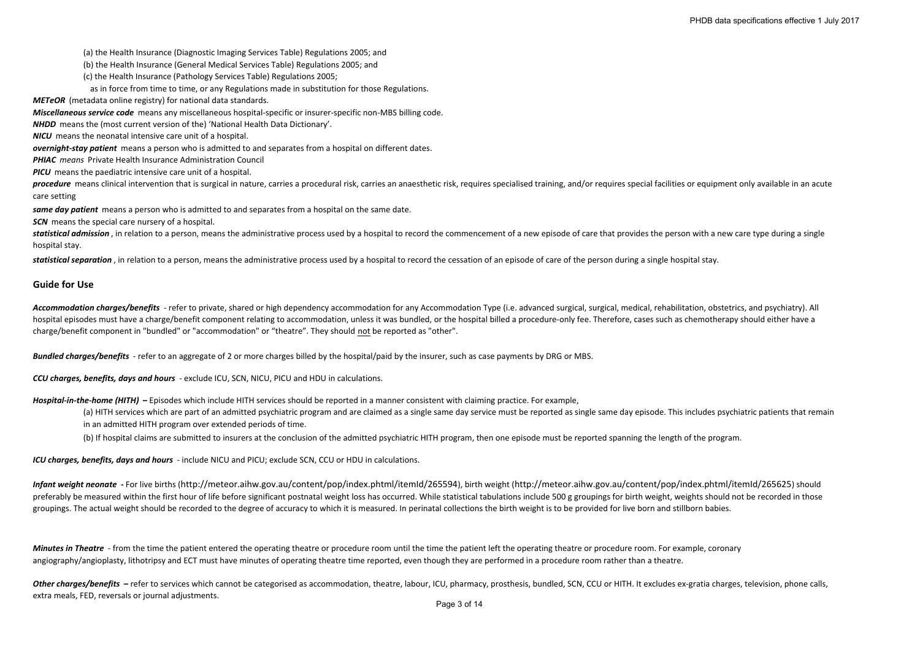(a) the Health Insurance (Diagnostic Imaging Services Table) Regulations 2005; and

(b) the Health Insurance (General Medical Services Table) Regulations 2005; and

(c) the Health Insurance (Pathology Services Table) Regulations 2005;

as in force from time to time, or any Regulations made in substitution for those Regulations.

*METeOR* (metadata online registry) for national data standards.

*Miscellaneous service code* means any miscellaneous hospital‐specific or insurer‐specific non‐MBS billing code.

*NHDD* means the (most current version of the) 'National Health Data Dictionary'.

*NICU* means the neonatal intensive care unit of <sup>a</sup> hospital.

*overnight‐stay patient* means <sup>a</sup> person who is admitted to and separates from <sup>a</sup> hospital on different dates.

*PHIAC means* Private Health Insurance Administration Council

*PICU* means the paediatric intensive care unit of <sup>a</sup> hospital.

procedure means clinical intervention that is surgical in nature, carries a procedural risk, carries an anaesthetic risk, requires specialised training, and/or requires special facilities or equipment only available in an care setting

*same day patient* means <sup>a</sup> person who is admitted to and separates from <sup>a</sup> hospital on the same date.

*SCN* means the special care nursery of <sup>a</sup> hospital.

statistical admission, in relation to a person, means the administrative process used by a hospital to record the commencement of a new episode of care that provides the person with a new care type during a single hospital stay.

*statistical separation* , in relation to <sup>a</sup> person, means the administrative process used by <sup>a</sup> hospital to record the cessation of an episode of care of the person during <sup>a</sup> single hospital stay.

# **Guide for Use**

Accommodation charges/benefits - refer to private, shared or high dependency accommodation for any Accommodation Type (i.e. advanced surgical, surgical, medical, rehabilitation, obstetrics, and psychiatry). All hospital episodes must have a charge/benefit component relating to accommodation, unless it was bundled, or the hospital billed a procedure-only fee. Therefore, cases such as chemotherapy should either have a charge/benefit component in "bundled" or "accommodation" or "theatre". They should not be reported as "other".

*Bundled charges/benefits* ‐ refer to an aggregate of 2 or more charges billed by the hospital/paid by the insurer, such as case payments by DRG or MBS.

*CCU charges, benefits, days and hours* ‐ exclude ICU, SCN, NICU, PICU and HDU in calculations.

*Hospital‐in‐the‐home (HITH)* **–** Episodes which include HITH services should be reported in <sup>a</sup> manner consistent with claiming practice. For example,

(a) HITH services which are part of an admitted psychiatric program and are claimed as a single same day service must be reported as single same day episode. This includes psychiatric patients that remain in an admitted HITH program over extended periods of time.

(b) If hospital claims are submitted to insurers at the conclusion of the admitted psychiatric HITH program, then one episode must be reported spanning the length of the program.

*ICU charges, benefits, days and hours* ‐ include NICU and PICU; exclude SCN, CCU or HDU in calculations.

Infant weight neonate - For live births (http://meteor.aihw.gov.au/content/pop/index.phtml/itemld/265594), birth weight (http://meteor.aihw.gov.au/content/pop/index.phtml/itemld/265594), birth weight (http://meteor.aihw.go preferably be measured within the first hour of life before significant postnatal weight loss has occurred. While statistical tabulations include 500 g groupings for birth weight, weights should not be recorded in those groupings. The actual weight should be recorded to the degree of accuracy to which it is measured. In perinatal collections the birth weight is to be provided for live born and stillborn babies.

**Minutes in Theatre** - from the time the patient entered the operating theatre or procedure room until the time the patient left the operating theatre or procedure room. For example, coronary angiography/angioplasty, lithotripsy and ECT must have minutes of operating theatre time reported, even though they are performed in a procedure room rather than a theatre.

Other charges/benefits - refer to services which cannot be categorised as accommodation, theatre, labour, ICU, pharmacy, prosthesis, bundled, SCN, CCU or HITH. It excludes ex-gratia charges, television, phone calls, extra meals, FED, reversals or journal adjustments.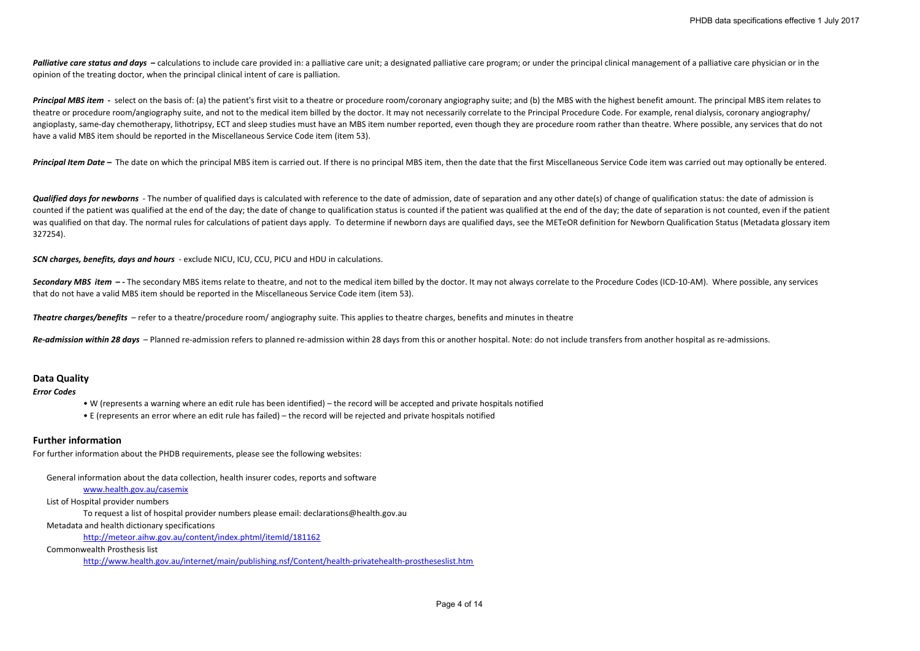Palliative care status and days – calculations to include care provided in: a palliative care unit; a designated palliative care program; or under the principal clinical management of a palliative care physician or in the opinion of the treating doctor, when the principal clinical intent of care is palliation.

Principal MBS item - select on the basis of: (a) the patient's first visit to a theatre or procedure room/coronary angiography suite: and (b) the MBS with the highest benefit amount. The principal MBS item relates to theatre or procedure room/angiography suite, and not to the medical item billed by the doctor. It may not necessarily correlate to the Principal Procedure Code. For example, renal dialysis, coronary angiography/ angioplasty, same-day chemotherapy, lithotripsy, ECT and sleep studies must have an MBS item number reported, even though they are procedure room rather than theatre. Where possible, any services that do not have <sup>a</sup> valid MBS item should be reported in the Miscellaneous Service Code item (item 53).

Principal Item Date - The date on which the principal MBS item is carried out. If there is no principal MBS item, then the date that the first Miscellaneous Service Code item was carried out may optionally be entered.

Qualified days for newborns - The number of qualified days is calculated with reference to the date of admission, date of separation and any other date(s) of change of qualification status: the date of admission is counted if the patient was qualified at the end of the day; the date of change to qualification status is counted if the patient was qualified at the end of the day; the date of separation is not counted, even if the patie was qualified on that day. The normal rules for calculations of patient days apply. To determine if newborn days are qualified days, see the METeOR definition for Newborn Qualification Status (Metadata glossary item 327254).

*SCN charges, benefits, days and hours* ‐ exclude NICU, ICU, CCU, PICU and HDU in calculations.

Secondary MBS item -- The secondary MBS items relate to theatre, and not to the medical item billed by the doctor. It may not always correlate to the Procedure Codes (ICD-10-AM). Where possible, any services that do not have <sup>a</sup> valid MBS item should be reported in the Miscellaneous Service Code item (item 53).

*Theatre charges/benefits* – refer to <sup>a</sup> theatre/procedure room/ angiography suite. This applies to theatre charges, benefits and minutes in theatre

Re-admission within 28 days - Planned re-admission refers to planned re-admission within 28 days from this or another hospital. Note: do not include transfers from another hospital as re-admissions.

# **Data Quality**

*Error Codes*

- W (represents <sup>a</sup> warning where an edit rule has been identified) the record will be accepted and private hospitals notified
- E (represents an error where an edit rule has failed) the record will be rejected and private hospitals notified

# **Further information**

For further information about the PHDB requirements, please see the following websites:

General information about the data collection, health insurer codes, reports and software

- www.health.gov.au/casemix
- List of Hospital provider numbers

To request <sup>a</sup> list of hospital provider numbers please email: declarations@health.gov.au

Metadata and health dictionary specifications

http://meteor.aihw.gov.au/content/index.phtml/itemId/181162

### Commonwealth Prosthesis list

http://www.health.gov.au/internet/main/publishing.nsf/Content/health‐privatehealth‐prostheseslist.htm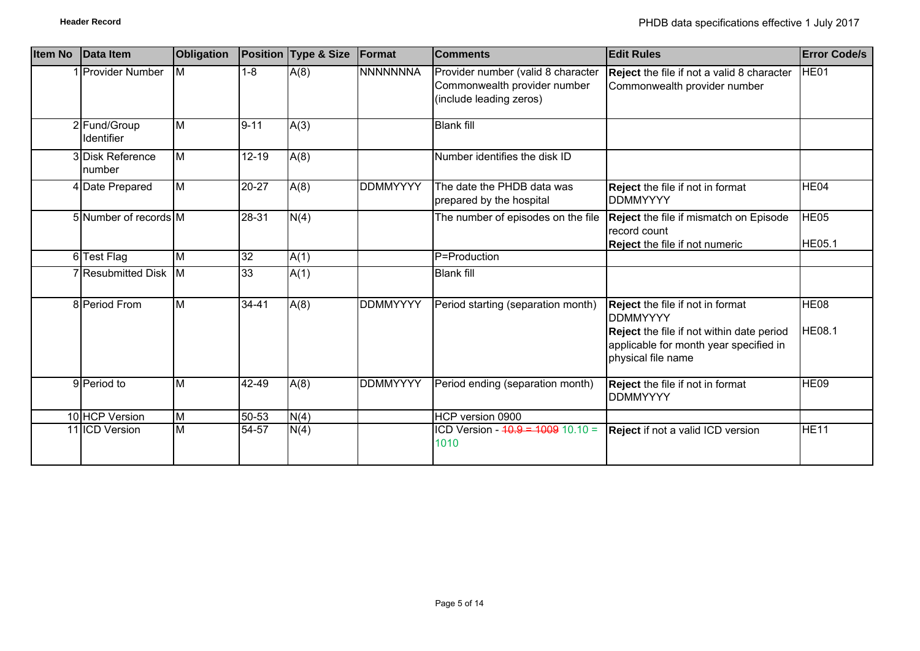| <b>Item No</b> | Data Item                         | <b>Obligation</b> |           | <b>Position Type &amp; Size</b> | Format          | <b>Comments</b>                                                                               | <b>Edit Rules</b>                                                                                                                                                | <b>Error Code/s</b>               |
|----------------|-----------------------------------|-------------------|-----------|---------------------------------|-----------------|-----------------------------------------------------------------------------------------------|------------------------------------------------------------------------------------------------------------------------------------------------------------------|-----------------------------------|
|                | 1 Provider Number                 | Iм                | $1 - 8$   | A(8)                            | <b>NNNNNNNA</b> | Provider number (valid 8 character<br>Commonwealth provider number<br>(include leading zeros) | Reject the file if not a valid 8 character<br>Commonwealth provider number                                                                                       | HE01                              |
|                | 2 Fund/Group<br><b>Identifier</b> | <b>M</b>          | $9 - 11$  | A(3)                            |                 | <b>Blank fill</b>                                                                             |                                                                                                                                                                  |                                   |
|                | 3 Disk Reference<br>number        | M                 | $12 - 19$ | A(8)                            |                 | Number identifies the disk ID                                                                 |                                                                                                                                                                  |                                   |
|                | 4 Date Prepared                   | $\overline{M}$    | 20-27     | A(8)                            | <b>DDMMYYYY</b> | The date the PHDB data was<br>prepared by the hospital                                        | Reject the file if not in format<br><b>DDMMYYYY</b>                                                                                                              | HE <sub>04</sub>                  |
|                | 5 Number of records M             |                   | 28-31     | N(4)                            |                 | The number of episodes on the file                                                            | Reject the file if mismatch on Episode<br>record count<br><b>Reject the file if not numeric</b>                                                                  | HE <sub>05</sub><br><b>HE05.1</b> |
|                | 6 Test Flag                       | M                 | 32        | A(1)                            |                 | P=Production                                                                                  |                                                                                                                                                                  |                                   |
|                | 7 Resubmitted Disk M              |                   | 33        | A(1)                            |                 | <b>Blank fill</b>                                                                             |                                                                                                                                                                  |                                   |
|                | 8 Period From                     | $\overline{M}$    | 34-41     | A(8)                            | <b>DDMMYYYY</b> | Period starting (separation month)                                                            | Reject the file if not in format<br><b>DDMMYYYY</b><br>Reject the file if not within date period<br>applicable for month year specified in<br>physical file name | HE <sub>08</sub><br><b>HE08.1</b> |
|                | 9 Period to                       | $\overline{M}$    | 42-49     | A(8)                            | <b>DDMMYYYY</b> | Period ending (separation month)                                                              | <b>Reject</b> the file if not in format<br><b>DDMMYYYY</b>                                                                                                       | HE09                              |
|                | 10 HCP Version                    | M                 | 50-53     | N(4)                            |                 | HCP version 0900                                                                              |                                                                                                                                                                  |                                   |
|                | 11 ICD Version                    | M                 | 54-57     | N(4)                            |                 | ICD Version - $40.9 = 1009$ 10.10 =<br>1010                                                   | <b>Reject</b> if not a valid ICD version                                                                                                                         | <b>HE11</b>                       |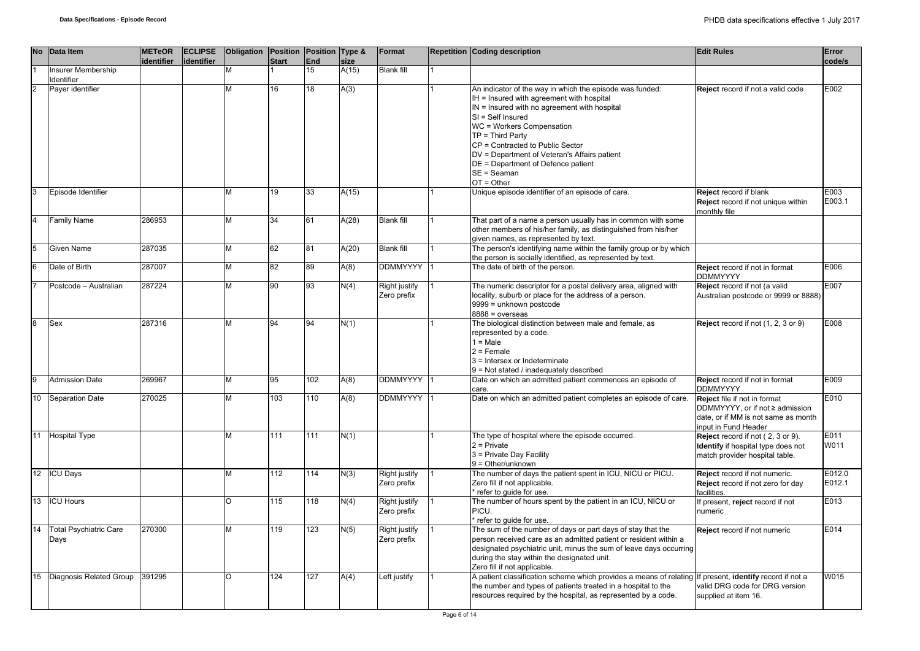|                | No Data Item                          | <b>METeOR</b><br>identifier | <b>ECLIPSE</b><br>identifier | Obligation | Position Position Type &<br><b>Start</b> | <b>End</b> | size  | Format                              | <b>Repetition Coding description</b>                                                                                                                                                                                                                                                                                                                                                       | <b>Edit Rules</b>                                                                                                              | Error<br>code/s  |
|----------------|---------------------------------------|-----------------------------|------------------------------|------------|------------------------------------------|------------|-------|-------------------------------------|--------------------------------------------------------------------------------------------------------------------------------------------------------------------------------------------------------------------------------------------------------------------------------------------------------------------------------------------------------------------------------------------|--------------------------------------------------------------------------------------------------------------------------------|------------------|
|                | nsurer Membership                     |                             |                              |            |                                          | 15         | A(15) | <b>Blank fill</b>                   |                                                                                                                                                                                                                                                                                                                                                                                            |                                                                                                                                |                  |
|                | dentifier<br>Payer identifier         |                             |                              | М          | 16                                       | 18         | A(3)  |                                     | An indicator of the way in which the episode was funded:<br>IH = Insured with agreement with hospital<br>IN = Insured with no agreement with hospital<br>$SI = Self$ Insured<br>WC = Workers Compensation<br>$TP = Third Party$<br>CP = Contracted to Public Sector<br>DV = Department of Veteran's Affairs patient<br>DE = Department of Defence patient<br>$SE = Seaman$<br>$OT = Other$ | Reject record if not a valid code                                                                                              | E002             |
| 3              | Episode Identifier                    |                             |                              | М          | 19                                       | 33         | A(15) |                                     | Unique episode identifier of an episode of care.                                                                                                                                                                                                                                                                                                                                           | Reject record if blank<br>Reject record if not unique within<br>monthly file                                                   | E003<br>E003.1   |
| $\overline{4}$ | <b>Family Name</b>                    | 286953                      |                              | М          | 34                                       | 61         | A(28) | <b>Blank fill</b>                   | That part of a name a person usually has in common with some<br>other members of his/her family, as distinguished from his/her<br>given names, as represented by text.                                                                                                                                                                                                                     |                                                                                                                                |                  |
| 5              | Given Name                            | 287035                      |                              | М          | 62                                       | 81         | A(20) | <b>Blank fill</b>                   | The person's identifying name within the family group or by which<br>the person is socially identified, as represented by text.                                                                                                                                                                                                                                                            |                                                                                                                                |                  |
| 6              | Date of Birth                         | 287007                      |                              | М          | 82                                       | 89         | A(8)  | DDMMYYYY 1                          | The date of birth of the person.                                                                                                                                                                                                                                                                                                                                                           | Reject record if not in format<br><b>DDMMYYYY</b>                                                                              | E006             |
|                | Postcode - Australian                 | 287224                      |                              | М          | 90                                       | 93         | N(4)  | Right justify<br>Zero prefix        | The numeric descriptor for a postal delivery area, aligned with<br>locality, suburb or place for the address of a person.<br>9999 = unknown postcode<br>$8888 = 0$ verseas                                                                                                                                                                                                                 | Reject record if not (a valid<br>Australian postcode or 9999 or 8888)                                                          | E007             |
| <b>R</b>       | <b>Sex</b>                            | 287316                      |                              | М          | 94                                       | 94         | N(1)  |                                     | The biological distinction between male and female, as<br>represented by a code.<br>$1 = Male$<br>$2$ = Female<br>3 = Intersex or Indeterminate<br>9 = Not stated / inadequately described                                                                                                                                                                                                 | Reject record if not (1, 2, 3 or 9)                                                                                            | E008             |
| Q              | <b>Admission Date</b>                 | 269967                      |                              | М          | 95                                       | 102        | A(8)  | DDMMYYYY 1                          | Date on which an admitted patient commences an episode of<br>care.                                                                                                                                                                                                                                                                                                                         | Reject record if not in format<br><b>DDMMYYYY</b>                                                                              | E009             |
| 10             | <b>Separation Date</b>                | 270025                      |                              | М          | 103                                      | 110        | A(8)  | <b>DDMMYYYY</b>                     | Date on which an admitted patient completes an episode of care.                                                                                                                                                                                                                                                                                                                            | Reject file if not in format<br>DDMMYYYY, or if not ≥ admission<br>date, or if MM is not same as month<br>input in Fund Header | E010             |
| 11             | <b>Hospital Type</b>                  |                             |                              | М          | 111                                      | 111        | N(1)  |                                     | The type of hospital where the episode occurred.<br>$2$ = Private<br>3 = Private Day Facility<br>$9 = Other/unknown$                                                                                                                                                                                                                                                                       | Reject record if not (2, 3 or 9).<br>Identify if hospital type does not<br>match provider hospital table.                      | E011<br>W011     |
| 12             | <b>ICU Days</b>                       |                             |                              | М          | 112                                      | 114        | N(3)  | Right justify<br>Zero prefix        | The number of days the patient spent in ICU, NICU or PICU.<br>Zero fill if not applicable.<br>* refer to quide for use.                                                                                                                                                                                                                                                                    | Reject record if not numeric.<br>Reject record if not zero for day<br>facilities.                                              | E012.0<br>E012.1 |
| 13             | <b>ICU Hours</b>                      |                             |                              | O          | 115                                      | 118        | N(4)  | <b>Right justify</b><br>Zero prefix | The number of hours spent by the patient in an ICU, NICU or<br>PICU.<br>* refer to quide for use.                                                                                                                                                                                                                                                                                          | f present, reject record if not<br>numeric                                                                                     | E013             |
| 14             | <b>Total Psychiatric Care</b><br>Days | 270300                      |                              | М          | 119                                      | 123        | N(5)  | Right justify<br>Zero prefix        | The sum of the number of days or part days of stay that the<br>person received care as an admitted patient or resident within a<br>designated psychiatric unit, minus the sum of leave days occurring<br>during the stay within the designated unit.<br>Zero fill if not applicable.                                                                                                       | Reject record if not numeric                                                                                                   | E014             |
| 15             | Diagnosis Related Group               | 391295                      |                              | $\Omega$   | 124                                      | 127        | A(4)  | Left justify                        | A patient classification scheme which provides a means of relating If present, identify record if not a<br>the number and types of patients treated in a hospital to the<br>resources required by the hospital, as represented by a code.                                                                                                                                                  | valid DRG code for DRG version<br>supplied at item 16.                                                                         | W015             |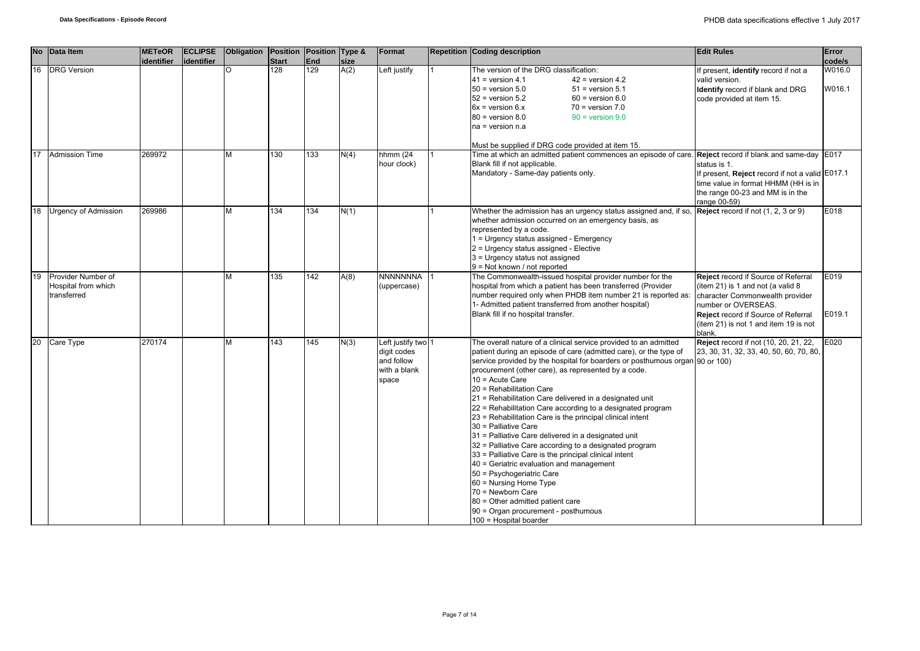|    | No Data Item                                             | <b>METeOR</b><br>lidentifier | <b>ECLIPSE</b><br>lidentifier | Obligation | Position Position Type &<br><b>Start</b> | <b>End</b> | size | Format                                                                 | <b>Repetition Coding description</b>                                                                                                                                                                                                                                                                                                                                                                                                                                                                                                                                                                                                                                                                                                                                                                                                                                                                                                               | <b>Edit Rules</b>                                                                                                                                                                                                            | Error<br>code/s  |
|----|----------------------------------------------------------|------------------------------|-------------------------------|------------|------------------------------------------|------------|------|------------------------------------------------------------------------|----------------------------------------------------------------------------------------------------------------------------------------------------------------------------------------------------------------------------------------------------------------------------------------------------------------------------------------------------------------------------------------------------------------------------------------------------------------------------------------------------------------------------------------------------------------------------------------------------------------------------------------------------------------------------------------------------------------------------------------------------------------------------------------------------------------------------------------------------------------------------------------------------------------------------------------------------|------------------------------------------------------------------------------------------------------------------------------------------------------------------------------------------------------------------------------|------------------|
| 16 | <b>DRG Version</b>                                       |                              |                               | O          | 128                                      | 129        | A(2) | Left justify                                                           | The version of the DRG classification:<br>$41$ = version 4.1<br>$42$ = version 4.2<br>$50 =$ version $5.0$<br>$51$ = version $5.1$<br>$52$ = version $5.2$<br>$60 =$ version $6.0$<br>$6x =$ version $6.x$<br>$70$ = version $7.0$<br>$80 =$ version $8.0$<br>$90 =$ version $9.0$<br>na = version n.a<br>Must be supplied if DRG code provided at item 15.                                                                                                                                                                                                                                                                                                                                                                                                                                                                                                                                                                                        | If present, identify record if not a<br>valid version.<br><b>Identify</b> record if blank and DRG<br>code provided at item 15.                                                                                               | W016.0<br>W016.1 |
| 17 | <b>Admission Time</b>                                    | 269972                       |                               | M          | 130                                      | 133        | N(4) | hhmm $(24)$<br>hour clock)                                             | Time at which an admitted patient commences an episode of care. Reject record if blank and same-day  E017<br>Blank fill if not applicable.<br>Mandatory - Same-day patients only.                                                                                                                                                                                                                                                                                                                                                                                                                                                                                                                                                                                                                                                                                                                                                                  | status is 1.<br>If present, Reject record if not a valid E017.1<br>time value in format HHMM (HH is in<br>the range 00-23 and MM is in the<br>range 00-59)                                                                   |                  |
| 18 | <b>Urgency of Admission</b>                              | 269986                       |                               | М          | 134                                      | 134        | N(1) |                                                                        | Whether the admission has an urgency status assigned and, if so, $\sqrt{\text{Reject } }$ record if not (1, 2, 3 or 9)<br>whether admission occurred on an emergency basis, as<br>represented by a code.<br>1 = Urgency status assigned - Emergency<br>2 = Urgency status assigned - Elective<br>3 = Urgency status not assigned<br>9 = Not known / not reported                                                                                                                                                                                                                                                                                                                                                                                                                                                                                                                                                                                   |                                                                                                                                                                                                                              | E018             |
| 19 | Provider Number of<br>Hospital from which<br>transferred |                              |                               | M          | 135                                      | 142        | A(8) | <b>NNNNNNNA</b><br>(uppercase)                                         | The Commonwealth-issued hospital provider number for the<br>hospital from which a patient has been transferred (Provider<br>number required only when PHDB item number 21 is reported as:<br>1- Admitted patient transferred from another hospital)<br>Blank fill if no hospital transfer.                                                                                                                                                                                                                                                                                                                                                                                                                                                                                                                                                                                                                                                         | Reject record if Source of Referral<br>(item 21) is 1 and not (a valid 8<br>character Commonwealth provider<br>number or OVERSEAS.<br>Reject record if Source of Referral<br>(item 21) is not 1 and item 19 is not<br>blank. | E019<br>E019.1   |
| 20 | Care Type                                                | 270174                       |                               | M          | 143                                      | 145        | N(3) | Left justify two<br>digit codes<br>and follow<br>with a blank<br>space | The overall nature of a clinical service provided to an admitted<br>patient during an episode of care (admitted care), or the type of<br>service provided by the hospital for boarders or posthumous organ 90 or 100)<br>procurement (other care), as represented by a code.<br>$10 =$ Acute Care<br>20 = Rehabilitation Care<br>21 = Rehabilitation Care delivered in a designated unit<br>22 = Rehabilitation Care according to a designated program<br>23 = Rehabilitation Care is the principal clinical intent<br>30 = Palliative Care<br>31 = Palliative Care delivered in a designated unit<br>32 = Palliative Care according to a designated program<br>33 = Palliative Care is the principal clinical intent<br>40 = Geriatric evaluation and management<br>50 = Psychogeriatric Care<br>60 = Nursing Home Type<br>70 = Newborn Care<br>80 = Other admitted patient care<br>90 = Organ procurement - posthumous<br>100 = Hospital boarder | Reject record if not (10, 20, 21, 22,<br>23, 30, 31, 32, 33, 40, 50, 60, 70, 80,                                                                                                                                             | E020             |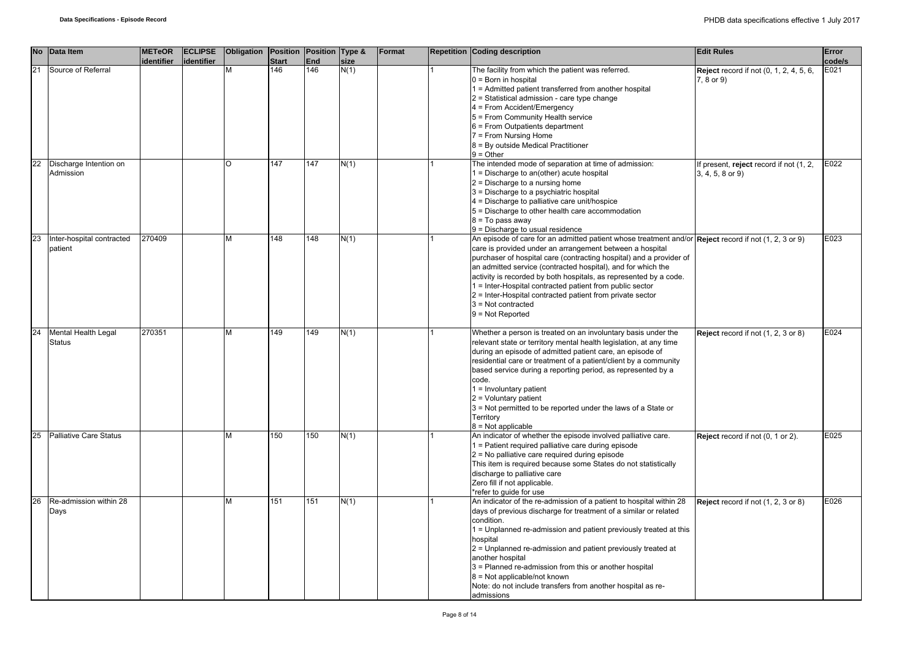|    | No Data Item                         | <b>METeOR</b><br>identifier | <b>ECLIPSE</b><br>identifier | Obligation Position Position Type & | <b>Start</b> | <b>End</b>       | size | Format | Repetition Coding description                                                                                                                                                                                                                                                                                                                                                                                                                                                                                                                        | <b>Edit Rules</b>                                            | Error<br>code/s |
|----|--------------------------------------|-----------------------------|------------------------------|-------------------------------------|--------------|------------------|------|--------|------------------------------------------------------------------------------------------------------------------------------------------------------------------------------------------------------------------------------------------------------------------------------------------------------------------------------------------------------------------------------------------------------------------------------------------------------------------------------------------------------------------------------------------------------|--------------------------------------------------------------|-----------------|
| 21 | Source of Referral                   |                             |                              |                                     | 146          | $\overline{146}$ | N(1) |        | The facility from which the patient was referred.<br>$0 = Born$ in hospital<br>1 = Admitted patient transferred from another hospital<br>2 = Statistical admission - care type change<br>4 = From Accident/Emergency<br>5 = From Community Health service<br>6 = From Outpatients department<br>7 = From Nursing Home<br>8 = By outside Medical Practitioner<br>$9 =$ Other                                                                                                                                                                          | <b>Reject</b> record if not (0, 1, 2, 4, 5, 6,<br>7, 8 or 9) | E021            |
| 22 | Discharge Intention on<br>Admission  |                             |                              | O                                   | 147          | 147              | N(1) |        | The intended mode of separation at time of admission:<br>1 = Discharge to an(other) acute hospital<br>$2$ = Discharge to a nursing home<br>3 = Discharge to a psychiatric hospital<br>4 = Discharge to palliative care unit/hospice<br>5 = Discharge to other health care accommodation<br>$8 = To pass away$<br>9 = Discharge to usual residence                                                                                                                                                                                                    | If present, reject record if not (1, 2,<br>3, 4, 5, 8 or 9)  | E022            |
| 23 | Inter-hospital contracted<br>patient | 270409                      |                              | M                                   | 148          | 148              | N(1) |        | An episode of care for an admitted patient whose treatment and/or Reject record if not (1, 2, 3 or 9)<br>care is provided under an arrangement between a hospital<br>purchaser of hospital care (contracting hospital) and a provider of<br>an admitted service (contracted hospital), and for which the<br>activity is recorded by both hospitals, as represented by a code.<br>1 = Inter-Hospital contracted patient from public sector<br>2 = Inter-Hospital contracted patient from private sector<br>$3 = Not contracted$<br>$9 = Not Reported$ |                                                              | E023            |
| 24 | Mental Health Legal<br><b>Status</b> | 270351                      |                              | м                                   | 149          | 149              | N(1) |        | Whether a person is treated on an involuntary basis under the<br>relevant state or territory mental health legislation, at any time<br>during an episode of admitted patient care, an episode of<br>residential care or treatment of a patient/client by a community<br>based service during a reporting period, as represented by a<br>code.<br>$1 =$ Involuntary patient<br>$2 =$ Voluntary patient<br>3 = Not permitted to be reported under the laws of a State or<br>Territory<br>$8 = Not applicable$                                          | Reject record if not (1, 2, 3 or 8)                          | E024            |
| 25 | Palliative Care Status               |                             |                              | М                                   | 150          | 150              | N(1) |        | An indicator of whether the episode involved palliative care.<br>1 = Patient required palliative care during episode<br>2 = No palliative care required during episode<br>This item is required because some States do not statistically<br>discharge to palliative care<br>Zero fill if not applicable.<br>*refer to guide for use                                                                                                                                                                                                                  | Reject record if not (0, 1 or 2).                            | E025            |
| 26 | Re-admission within 28<br>Days       |                             |                              | М                                   | 151          | 151              | N(1) |        | An indicator of the re-admission of a patient to hospital within 28<br>days of previous discharge for treatment of a similar or related<br>condition.<br>1 = Unplanned re-admission and patient previously treated at this<br>hospital<br>2 = Unplanned re-admission and patient previously treated at<br>another hospital<br>3 = Planned re-admission from this or another hospital<br>8 = Not applicable/not known<br>Note: do not include transfers from another hospital as re-<br>admissions                                                    | Reject record if not (1, 2, 3 or 8)                          | E026            |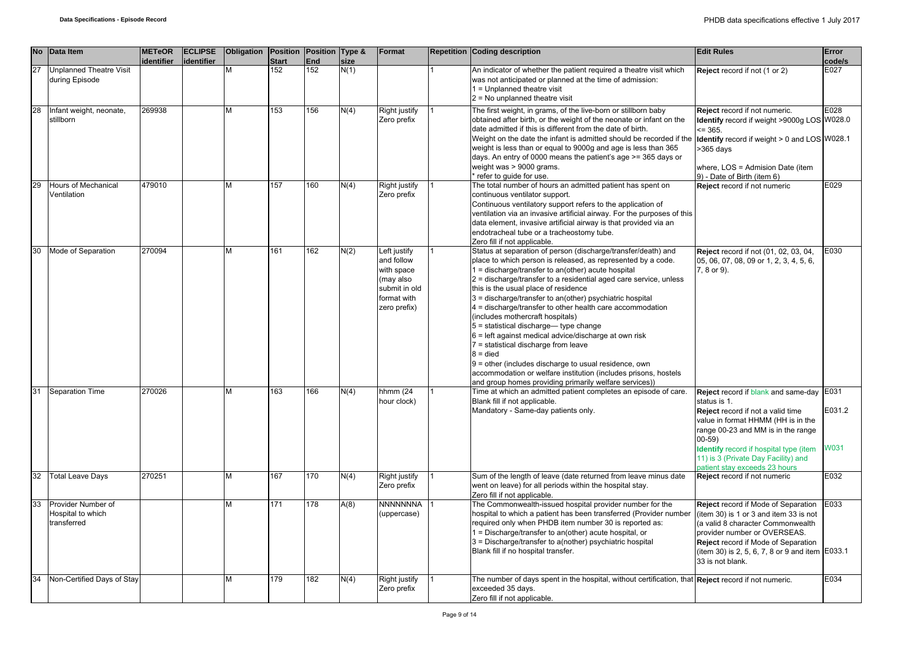|    | No Data Item                                           | <b>METeOR</b><br>identifier | <b>ECLIPSE</b><br>identifier | Obligation | Position Position Type &<br><b>Start</b> | <b>End</b> | size | Format                                                                                                | <b>Repetition Coding description</b>                                                                                                                                                                                                                                                                                                                                                                                                                                                                                                                                                                                                                                                                                                                                                                            | <b>Edit Rules</b>                                                                                                                                                                                                                                                                                               | Error<br>code/s       |
|----|--------------------------------------------------------|-----------------------------|------------------------------|------------|------------------------------------------|------------|------|-------------------------------------------------------------------------------------------------------|-----------------------------------------------------------------------------------------------------------------------------------------------------------------------------------------------------------------------------------------------------------------------------------------------------------------------------------------------------------------------------------------------------------------------------------------------------------------------------------------------------------------------------------------------------------------------------------------------------------------------------------------------------------------------------------------------------------------------------------------------------------------------------------------------------------------|-----------------------------------------------------------------------------------------------------------------------------------------------------------------------------------------------------------------------------------------------------------------------------------------------------------------|-----------------------|
| 27 | <b>Unplanned Theatre Visit</b><br>during Episode       |                             |                              | М          | 152                                      | 152        | N(1) |                                                                                                       | An indicator of whether the patient required a theatre visit which<br>was not anticipated or planned at the time of admission:<br>1 = Unplanned theatre visit<br>$2$ = No unplanned theatre visit                                                                                                                                                                                                                                                                                                                                                                                                                                                                                                                                                                                                               | Reject record if not (1 or 2)                                                                                                                                                                                                                                                                                   | E027                  |
| 28 | Infant weight, neonate,<br>stillborn                   | 269938                      |                              | M          | 153                                      | 156        | N(4) | Right justify<br>Zero prefix                                                                          | The first weight, in grams, of the live-born or stillborn baby<br>obtained after birth, or the weight of the neonate or infant on the<br>date admitted if this is different from the date of birth.<br>Weight on the date the infant is admitted should be recorded if the<br>weight is less than or equal to 9000g and age is less than 365<br>days. An entry of 0000 means the patient's age >= 365 days or<br>weight was > 9000 grams.<br>refer to quide for use.                                                                                                                                                                                                                                                                                                                                            | Reject record if not numeric.<br>Identify record if weight >9000g LOS W028.0<br>$= 365.$<br>Identify record if weight > 0 and LOS W028.1<br>>365 days<br>where, LOS = Admision Date (item<br>9) - Date of Birth (item 6)                                                                                        | E028                  |
| 29 | Hours of Mechanical<br>Ventilation                     | 479010                      |                              | M          | 157                                      | 160        | N(4) | <b>Right justify</b><br>Zero prefix                                                                   | The total number of hours an admitted patient has spent on<br>continuous ventilator support.<br>Continuous ventilatory support refers to the application of<br>ventilation via an invasive artificial airway. For the purposes of this<br>data element, invasive artificial airway is that provided via an<br>endotracheal tube or a tracheostomy tube.<br>Zero fill if not applicable.                                                                                                                                                                                                                                                                                                                                                                                                                         | Reject record if not numeric                                                                                                                                                                                                                                                                                    | E029                  |
| 30 | Mode of Separation                                     | 270094                      |                              | М          | 161                                      | 162        | N(2) | Left justify<br>and follow<br>with space<br>(may also<br>submit in old<br>format with<br>zero prefix) | Status at separation of person (discharge/transfer/death) and<br>place to which person is released, as represented by a code.<br>1 = discharge/transfer to an(other) acute hospital<br>2 = discharge/transfer to a residential aged care service, unless<br>this is the usual place of residence<br>3 = discharge/transfer to an(other) psychiatric hospital<br>4 = discharge/transfer to other health care accommodation<br>(includes mothercraft hospitals)<br>$5 =$ statistical discharge-type change<br>$6$ = left against medical advice/discharge at own risk<br>7 = statistical discharge from leave<br>$8 =$ died<br>9 = other (includes discharge to usual residence, own<br>accommodation or welfare institution (includes prisons, hostels<br>and group homes providing primarily welfare services)) | Reject record if not (01, 02, 03, 04,<br>05, 06, 07, 08, 09 or 1, 2, 3, 4, 5, 6,<br>7, 8 or 9).                                                                                                                                                                                                                 | E030                  |
| 31 | Separation Time                                        | 270026                      |                              | М          | 163                                      | 166        | N(4) | hhmm (24<br>hour clock)                                                                               | Time at which an admitted patient completes an episode of care.<br>Blank fill if not applicable.<br>Mandatory - Same-day patients only.                                                                                                                                                                                                                                                                                                                                                                                                                                                                                                                                                                                                                                                                         | Reject record if blank and same-day E031<br>status is 1.<br>Reject record if not a valid time<br>value in format HHMM (HH is in the<br>range 00-23 and MM is in the range<br>$00 - 59$<br><b>Identify</b> record if hospital type (item<br>11) is 3 (Private Day Facility) and<br>patient stay exceeds 23 hours | E031.2<br><b>W031</b> |
| 32 | <b>Total Leave Days</b>                                | 270251                      |                              | М          | 167                                      | 170        | N(4) | <b>Right justify</b><br>Zero prefix                                                                   | Sum of the length of leave (date returned from leave minus date<br>went on leave) for all periods within the hospital stay.<br>Zero fill if not applicable.                                                                                                                                                                                                                                                                                                                                                                                                                                                                                                                                                                                                                                                     | Reject record if not numeric                                                                                                                                                                                                                                                                                    | E032                  |
| 33 | Provider Number of<br>Hospital to which<br>transferred |                             |                              | М          | 171                                      | 178        | A(8) | <b>NNNNNNNA</b><br>(uppercase)                                                                        | The Commonwealth-issued hospital provider number for the<br>hospital to which a patient has been transferred (Provider number<br>required only when PHDB item number 30 is reported as:<br>1 = Discharge/transfer to an(other) acute hospital, or<br>3 = Discharge/transfer to a(nother) psychiatric hospital<br>Blank fill if no hospital transfer.                                                                                                                                                                                                                                                                                                                                                                                                                                                            | Reject record if Mode of Separation<br>(item 30) is 1 or 3 and item 33 is not<br>(a valid 8 character Commonwealth<br>provider number or OVERSEAS.<br>Reject record if Mode of Separation<br>(item 30) is 2, 5, 6, 7, 8 or 9 and item E033.1<br>33 is not blank.                                                | E033                  |
| 34 | Non-Certified Days of Stay                             |                             |                              | M          | 179                                      | 182        | N(4) | Right justify<br>Zero prefix                                                                          | The number of days spent in the hospital, without certification, that <b>Reject</b> record if not numeric.<br>exceeded 35 days.<br>Zero fill if not applicable.                                                                                                                                                                                                                                                                                                                                                                                                                                                                                                                                                                                                                                                 |                                                                                                                                                                                                                                                                                                                 | E034                  |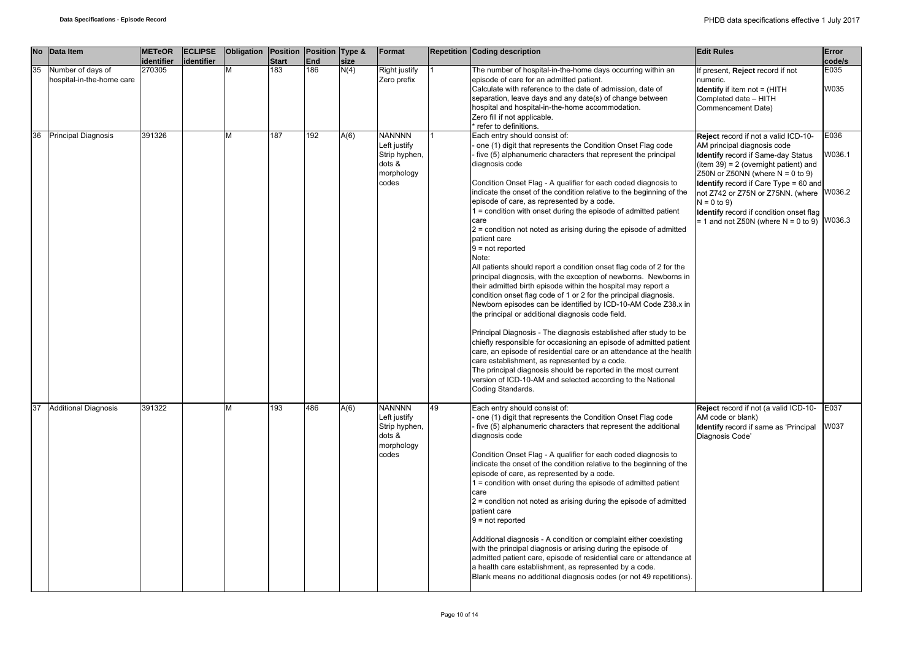|    | No Data Item                                   | <b>METeOR</b><br>identifier | <b>ECLIPSE</b><br>identifier | Obligation | Position Position Type &<br><b>Start</b> | <b>End</b>       | size | Format                                                                          |    | <b>Repetition Coding description</b>                                                                                                                                                                                                                                                                                                                                                                                                                                                                                                                                                                                                                                                                                                                                                                                                                                                                                                                                                                                                                                                                                                                                                                                                                                                                                                                                                                  | <b>Edit Rules</b>                                                                                                                                                                                                                                                                                                                                                                   | Error<br>code/s                    |
|----|------------------------------------------------|-----------------------------|------------------------------|------------|------------------------------------------|------------------|------|---------------------------------------------------------------------------------|----|-------------------------------------------------------------------------------------------------------------------------------------------------------------------------------------------------------------------------------------------------------------------------------------------------------------------------------------------------------------------------------------------------------------------------------------------------------------------------------------------------------------------------------------------------------------------------------------------------------------------------------------------------------------------------------------------------------------------------------------------------------------------------------------------------------------------------------------------------------------------------------------------------------------------------------------------------------------------------------------------------------------------------------------------------------------------------------------------------------------------------------------------------------------------------------------------------------------------------------------------------------------------------------------------------------------------------------------------------------------------------------------------------------|-------------------------------------------------------------------------------------------------------------------------------------------------------------------------------------------------------------------------------------------------------------------------------------------------------------------------------------------------------------------------------------|------------------------------------|
| 35 | Number of days of<br>hospital-in-the-home care | 270305                      |                              | M          | 183                                      | $\overline{186}$ | N(4) | Right justify<br>Zero prefix                                                    |    | The number of hospital-in-the-home days occurring within an<br>episode of care for an admitted patient.<br>Calculate with reference to the date of admission, date of<br>separation, leave days and any date(s) of change between<br>hospital and hospital-in-the-home accommodation.<br>Zero fill if not applicable.<br>refer to definitions.                                                                                                                                                                                                                                                                                                                                                                                                                                                                                                                                                                                                                                                                                                                                                                                                                                                                                                                                                                                                                                                        | present, Reject record if not<br>numeric.<br><b>Identify</b> if item not = (HITH<br>Completed date - HITH<br>Commencement Date)                                                                                                                                                                                                                                                     | E035<br>W035                       |
| 36 | <b>Principal Diagnosis</b>                     | 391326                      |                              | M          | 187                                      | $\overline{192}$ | A(6) | <b>NANNNN</b><br>Left justify<br>Strip hyphen,<br>dots &<br>morphology<br>codes |    | Each entry should consist of:<br>one (1) digit that represents the Condition Onset Flag code<br>five (5) alphanumeric characters that represent the principal<br>diagnosis code<br>Condition Onset Flag - A qualifier for each coded diagnosis to<br>indicate the onset of the condition relative to the beginning of the<br>episode of care, as represented by a code.<br>1 = condition with onset during the episode of admitted patient<br>care<br>2 = condition not noted as arising during the episode of admitted<br>patient care<br>$9 = not reported$<br>Note:<br>All patients should report a condition onset flag code of 2 for the<br>principal diagnosis, with the exception of newborns. Newborns in<br>their admitted birth episode within the hospital may report a<br>condition onset flag code of 1 or 2 for the principal diagnosis.<br>Newborn episodes can be identified by ICD-10-AM Code Z38.x in<br>the principal or additional diagnosis code field.<br>Principal Diagnosis - The diagnosis established after study to be<br>chiefly responsible for occasioning an episode of admitted patient<br>care, an episode of residential care or an attendance at the health<br>care establishment, as represented by a code.<br>The principal diagnosis should be reported in the most current<br>version of ICD-10-AM and selected according to the National<br>Coding Standards. | Reject record if not a valid ICD-10-<br>AM principal diagnosis code<br><b>Identify</b> record if Same-day Status<br>$(item 39) = 2 (overnment) and$<br>Z50N or Z50NN (where $N = 0$ to 9)<br><b>Identify</b> record if Care Type = 60 and<br>not Z742 or Z75N or Z75NN. (where<br>$N = 0$ to 9)<br>Identify record if condition onset flag<br>$= 1$ and not Z50N (where N = 0 to 9) | E036<br>W036.1<br>W036.2<br>W036.3 |
| 37 | <b>Additional Diagnosis</b>                    | 391322                      |                              |            | 193                                      | 486              | A(6) | <b>NANNNN</b><br>Left justify<br>Strip hyphen,<br>dots &<br>morphology<br>codes | 49 | Each entry should consist of:<br>one (1) digit that represents the Condition Onset Flag code<br>five (5) alphanumeric characters that represent the additional<br>diagnosis code<br>Condition Onset Flag - A qualifier for each coded diagnosis to<br>indicate the onset of the condition relative to the beginning of the<br>episode of care, as represented by a code.<br>1 = condition with onset during the episode of admitted patient<br>care<br>$2$ = condition not noted as arising during the episode of admitted<br>patient care<br>$9 = not reported$<br>Additional diagnosis - A condition or complaint either coexisting<br>with the principal diagnosis or arising during the episode of<br>admitted patient care, episode of residential care or attendance at<br>a health care establishment, as represented by a code.<br>Blank means no additional diagnosis codes (or not 49 repetitions).                                                                                                                                                                                                                                                                                                                                                                                                                                                                                         | Reject record if not (a valid ICD-10-<br>AM code or blank)<br><b>Identify</b> record if same as 'Principal<br>Diagnosis Code'                                                                                                                                                                                                                                                       | E037<br>W037                       |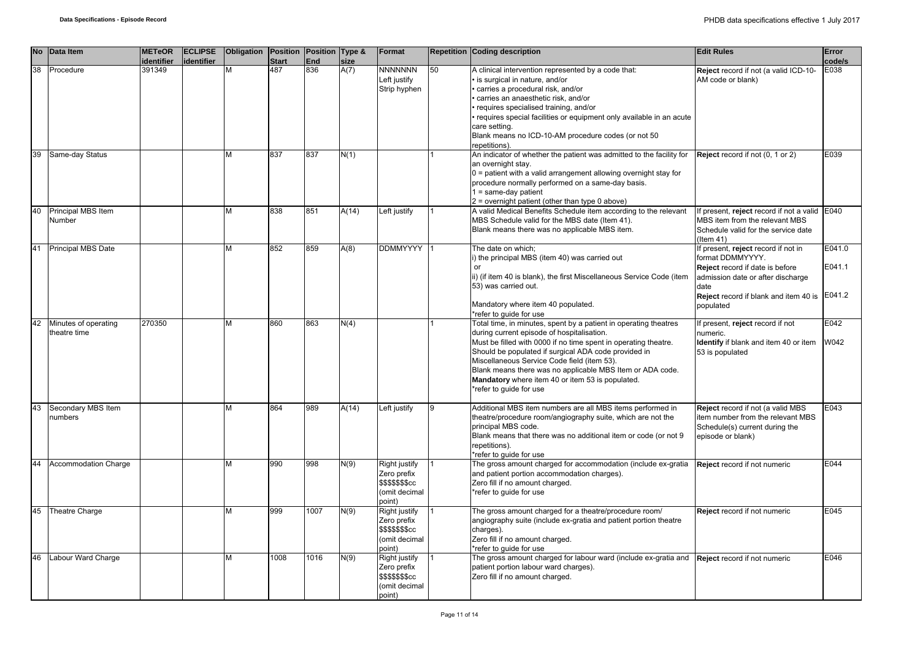| <b>No</b> | Data Item                 | <b>METeOR</b><br>identifier | <b>ECLIPSE</b><br>identifier | <b>Obligation</b> | Position<br><b>Start</b> | Position Type &<br>End | size  | Format                  |    | <b>Repetition Coding description</b>                                                                | <b>Edit Rules</b>                             | Error<br>code/s |
|-----------|---------------------------|-----------------------------|------------------------------|-------------------|--------------------------|------------------------|-------|-------------------------|----|-----------------------------------------------------------------------------------------------------|-----------------------------------------------|-----------------|
| 38        | Procedure                 | 391349                      |                              |                   | 487                      | 836                    | A(7)  | <b>NNNNNNN</b>          | 50 | A clinical intervention represented by a code that:                                                 | Reject record if not (a valid ICD-10-         | E038            |
|           |                           |                             |                              |                   |                          |                        |       | Left justify            |    | · is surgical in nature, and/or                                                                     | AM code or blank)                             |                 |
|           |                           |                             |                              |                   |                          |                        |       | Strip hyphen            |    | carries a procedural risk, and/or                                                                   |                                               |                 |
|           |                           |                             |                              |                   |                          |                        |       |                         |    | carries an anaesthetic risk, and/or                                                                 |                                               |                 |
|           |                           |                             |                              |                   |                          |                        |       |                         |    | · requires specialised training, and/or                                                             |                                               |                 |
|           |                           |                             |                              |                   |                          |                        |       |                         |    | · requires special facilities or equipment only available in an acute                               |                                               |                 |
|           |                           |                             |                              |                   |                          |                        |       |                         |    | care setting.                                                                                       |                                               |                 |
|           |                           |                             |                              |                   |                          |                        |       |                         |    | Blank means no ICD-10-AM procedure codes (or not 50                                                 |                                               |                 |
| 39        | Same-day Status           |                             |                              | м                 | 837                      | 837                    |       |                         |    | repetitions).<br>An indicator of whether the patient was admitted to the facility for               |                                               | E039            |
|           |                           |                             |                              |                   |                          |                        | N(1)  |                         |    | an overnight stay.                                                                                  | Reject record if not (0, 1 or 2)              |                 |
|           |                           |                             |                              |                   |                          |                        |       |                         |    | $0 =$ patient with a valid arrangement allowing overnight stay for                                  |                                               |                 |
|           |                           |                             |                              |                   |                          |                        |       |                         |    | procedure normally performed on a same-day basis.                                                   |                                               |                 |
|           |                           |                             |                              |                   |                          |                        |       |                         |    | $1 = same-day patient$                                                                              |                                               |                 |
|           |                           |                             |                              |                   |                          |                        |       |                         |    | 2 = overnight patient (other than type 0 above)                                                     |                                               |                 |
| 40        | Principal MBS Item        |                             |                              | М                 | 838                      | 851                    | A(14) | Left justify            |    | A valid Medical Benefits Schedule item according to the relevant                                    | If present, reject record if not a valid E040 |                 |
|           | Number                    |                             |                              |                   |                          |                        |       |                         |    | MBS Schedule valid for the MBS date (Item 41).                                                      | MBS item from the relevant MBS                |                 |
|           |                           |                             |                              |                   |                          |                        |       |                         |    | Blank means there was no applicable MBS item.                                                       | Schedule valid for the service date           |                 |
|           |                           |                             |                              |                   |                          |                        |       |                         |    |                                                                                                     | $($ ltem 41)                                  |                 |
| 41        | <b>Principal MBS Date</b> |                             |                              | M                 | 852                      | 859                    | A(8)  | <b>DDMMYYYY</b>         |    | The date on which;                                                                                  | If present, reject record if not in           | E041.0          |
|           |                           |                             |                              |                   |                          |                        |       |                         |    | i) the principal MBS (item 40) was carried out                                                      | format DDMMYYYY.                              |                 |
|           |                           |                             |                              |                   |                          |                        |       |                         |    | or                                                                                                  | Reject record if date is before               | E041.1          |
|           |                           |                             |                              |                   |                          |                        |       |                         |    | ii) (if item 40 is blank), the first Miscellaneous Service Code (item                               | admission date or after discharge             |                 |
|           |                           |                             |                              |                   |                          |                        |       |                         |    | 53) was carried out.                                                                                | date                                          |                 |
|           |                           |                             |                              |                   |                          |                        |       |                         |    |                                                                                                     | Reject record if blank and item 40 is         | E041.2          |
|           |                           |                             |                              |                   |                          |                        |       |                         |    | Mandatory where item 40 populated.                                                                  | populated                                     |                 |
|           |                           |                             |                              |                   |                          |                        |       |                         |    | *refer to quide for use                                                                             |                                               |                 |
| 42        | Minutes of operating      | 270350                      |                              | М                 | 860                      | 863                    | N(4)  |                         |    | Total time, in minutes, spent by a patient in operating theatres                                    | If present, reject record if not              | E042            |
|           | theatre time              |                             |                              |                   |                          |                        |       |                         |    | during current episode of hospitalisation.                                                          | numeric.                                      |                 |
|           |                           |                             |                              |                   |                          |                        |       |                         |    | Must be filled with 0000 if no time spent in operating theatre.                                     | Identify if blank and item 40 or item         | W042            |
|           |                           |                             |                              |                   |                          |                        |       |                         |    | Should be populated if surgical ADA code provided in<br>Miscellaneous Service Code field (item 53). | 53 is populated                               |                 |
|           |                           |                             |                              |                   |                          |                        |       |                         |    | Blank means there was no applicable MBS Item or ADA code.                                           |                                               |                 |
|           |                           |                             |                              |                   |                          |                        |       |                         |    | Mandatory where item 40 or item 53 is populated.                                                    |                                               |                 |
|           |                           |                             |                              |                   |                          |                        |       |                         |    | *refer to guide for use                                                                             |                                               |                 |
|           |                           |                             |                              |                   |                          |                        |       |                         |    |                                                                                                     |                                               |                 |
| 43        | Secondary MBS Item        |                             |                              | М                 | 864                      | 989                    | A(14) | Left justify            | 9  | Additional MBS item numbers are all MBS items performed in                                          | Reject record if not (a valid MBS             | E043            |
|           | numbers                   |                             |                              |                   |                          |                        |       |                         |    | theatre/procedure room/angiography suite, which are not the                                         | item number from the relevant MBS             |                 |
|           |                           |                             |                              |                   |                          |                        |       |                         |    | principal MBS code.                                                                                 | Schedule(s) current during the                |                 |
|           |                           |                             |                              |                   |                          |                        |       |                         |    | Blank means that there was no additional item or code (or not 9                                     | episode or blank)                             |                 |
|           |                           |                             |                              |                   |                          |                        |       |                         |    | repetitions).                                                                                       |                                               |                 |
|           |                           |                             |                              |                   |                          |                        |       |                         |    | *refer to quide for use                                                                             |                                               |                 |
| 44        | Accommodation Charge      |                             |                              | М                 | 990                      | 998                    | N(9)  | <b>Right justify</b>    |    | The gross amount charged for accommodation (include ex-gratia                                       | Reject record if not numeric                  | E044            |
|           |                           |                             |                              |                   |                          |                        |       | Zero prefix             |    | and patient portion accommodation charges).                                                         |                                               |                 |
|           |                           |                             |                              |                   |                          |                        |       | \$\$\$\$\$\$\$cc        |    | Zero fill if no amount charged.                                                                     |                                               |                 |
|           |                           |                             |                              |                   |                          |                        |       | (omit decimal           |    | *refer to quide for use                                                                             |                                               |                 |
| 45        | Theatre Charge            |                             |                              | М                 | 999                      | 1007                   | N(9)  | point)<br>Right justify |    | The gross amount charged for a theatre/procedure room/                                              | Reject record if not numeric                  | E045            |
|           |                           |                             |                              |                   |                          |                        |       | Zero prefix             |    | angiography suite (include ex-gratia and patient portion theatre                                    |                                               |                 |
|           |                           |                             |                              |                   |                          |                        |       | \$\$\$\$\$\$\$cc        |    | charges).                                                                                           |                                               |                 |
|           |                           |                             |                              |                   |                          |                        |       | (omit decimal           |    | Zero fill if no amount charged.                                                                     |                                               |                 |
|           |                           |                             |                              |                   |                          |                        |       | point)                  |    | *refer to guide for use                                                                             |                                               |                 |
| 46        | Labour Ward Charge        |                             |                              | М                 | 1008                     | 1016                   | N(9)  | <b>Right justify</b>    |    | The gross amount charged for labour ward (include ex-gratia and                                     | Reject record if not numeric                  | E046            |
|           |                           |                             |                              |                   |                          |                        |       | Zero prefix             |    | patient portion labour ward charges).                                                               |                                               |                 |
|           |                           |                             |                              |                   |                          |                        |       | \$\$\$\$\$\$\$cc        |    | Zero fill if no amount charged.                                                                     |                                               |                 |
|           |                           |                             |                              |                   |                          |                        |       | (omit decimal           |    |                                                                                                     |                                               |                 |
|           |                           |                             |                              |                   |                          |                        |       | point)                  |    |                                                                                                     |                                               |                 |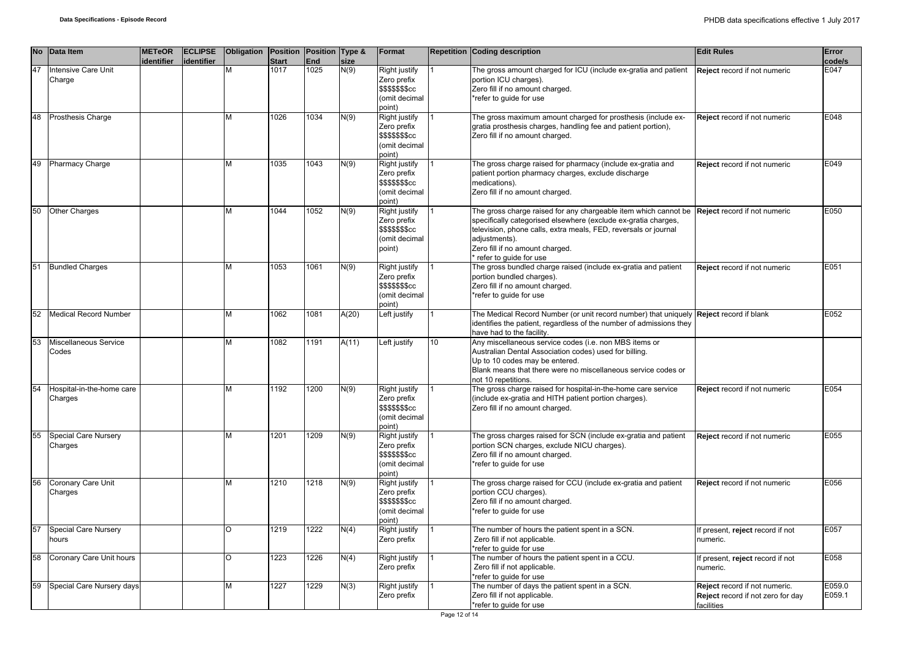|    | No Data Item                           | <b>METeOR</b><br>identifier | <b>ECLIPSE</b><br>identifier | <b>Obligation</b> | Position Position Type &<br><b>Start</b> | End  | size  | Format                                                                      |    | <b>Repetition Coding description</b>                                                                                                                                                                                                                                                                              | <b>Edit Rules</b>                                                                | Error<br>code/s  |
|----|----------------------------------------|-----------------------------|------------------------------|-------------------|------------------------------------------|------|-------|-----------------------------------------------------------------------------|----|-------------------------------------------------------------------------------------------------------------------------------------------------------------------------------------------------------------------------------------------------------------------------------------------------------------------|----------------------------------------------------------------------------------|------------------|
| 47 | Intensive Care Unit<br>Charge          |                             |                              |                   | 1017                                     | 1025 | N(9)  | Right justify<br>Zero prefix<br>\$\$\$\$\$\$\$cc<br>(omit decimal<br>point) |    | The gross amount charged for ICU (include ex-gratia and patient<br>portion ICU charges).<br>Zero fill if no amount charged.<br>*refer to guide for use                                                                                                                                                            | Reject record if not numeric                                                     | E047             |
| 48 | <b>Prosthesis Charge</b>               |                             |                              | M                 | 1026                                     | 1034 | N(9)  | Right justify<br>Zero prefix<br>\$\$\$\$\$\$\$cc<br>(omit decimal<br>point) |    | The gross maximum amount charged for prosthesis (include ex-<br>gratia prosthesis charges, handling fee and patient portion),<br>Zero fill if no amount charged.                                                                                                                                                  | Reject record if not numeric                                                     | E048             |
| 49 | Pharmacy Charge                        |                             |                              | M                 | 1035                                     | 1043 | N(9)  | Right justify<br>Zero prefix<br>\$\$\$\$\$\$cc<br>(omit decimal<br>(point   |    | The gross charge raised for pharmacy (include ex-gratia and<br>patient portion pharmacy charges, exclude discharge<br>medications).<br>Zero fill if no amount charged.                                                                                                                                            | Reject record if not numeric                                                     | E049             |
| 50 | <b>Other Charges</b>                   |                             |                              | M                 | 1044                                     | 1052 | N(9)  | Right justify<br>Zero prefix<br>\$\$\$\$\$\$\$cc<br>(omit decimal<br>point) |    | The gross charge raised for any chargeable item which cannot be Reject record if not numeric<br>specifically categorised elsewhere (exclude ex-gratia charges,<br>television, phone calls, extra meals, FED, reversals or journal<br>adjustments).<br>Zero fill if no amount charged.<br>* refer to guide for use |                                                                                  | E050             |
|    | 51 Bundled Charges                     |                             |                              | M                 | 1053                                     | 1061 | N(9)  | Right justify<br>Zero prefix<br>\$\$\$\$\$\$\$cc<br>(omit decimal<br>point) |    | The gross bundled charge raised (include ex-gratia and patient<br>portion bundled charges).<br>Zero fill if no amount charged.<br>*refer to guide for use                                                                                                                                                         | Reject record if not numeric                                                     | E051             |
| 52 | <b>Medical Record Number</b>           |                             |                              | M                 | 1062                                     | 1081 | A(20) | Left justify                                                                |    | The Medical Record Number (or unit record number) that uniquely <b>Reject</b> record if blank<br>identifies the patient, regardless of the number of admissions they<br>have had to the facility.                                                                                                                 |                                                                                  | E052             |
| 53 | Miscellaneous Service<br>Codes         |                             |                              | M                 | 1082                                     | 1191 | A(11) | Left justify                                                                | 10 | Any miscellaneous service codes (i.e. non MBS items or<br>Australian Dental Association codes) used for billing.<br>Up to 10 codes may be entered.<br>Blank means that there were no miscellaneous service codes or<br>not 10 repetitions.                                                                        |                                                                                  |                  |
| 54 | Hospital-in-the-home care<br>Charges   |                             |                              | M                 | 1192                                     | 1200 | N(9)  | Right justify<br>Zero prefix<br>\$\$\$\$\$\$\$cc<br>(omit decimal<br>point) |    | The gross charge raised for hospital-in-the-home care service<br>(include ex-gratia and HITH patient portion charges).<br>Zero fill if no amount charged.                                                                                                                                                         | Reject record if not numeric                                                     | E054             |
| 55 | <b>Special Care Nursery</b><br>Charges |                             |                              | M                 | 1201                                     | 1209 | N(9)  | Right justify<br>Zero prefix<br>\$\$\$\$\$\$\$cc<br>(omit decimal<br>point) |    | The gross charges raised for SCN (include ex-gratia and patient<br>portion SCN charges, exclude NICU charges).<br>Zero fill if no amount charged.<br>*refer to guide for use                                                                                                                                      | Reject record if not numeric                                                     | E055             |
| 56 | Coronary Care Unit<br>Charges          |                             |                              | M                 | 1210                                     | 1218 | N(9)  | Right justify<br>Zero prefix<br>\$\$\$\$\$\$\$cc<br>(omit decimal<br>point) |    | The gross charge raised for CCU (include ex-gratia and patient<br>portion CCU charges).<br>Zero fill if no amount charged.<br>*refer to guide for use                                                                                                                                                             | Reject record if not numeric                                                     | E056             |
| 57 | Special Care Nursery<br>hours          |                             |                              | $\circ$           | 1219                                     | 1222 | N(4)  | Right justify<br>Zero prefix                                                |    | The number of hours the patient spent in a SCN.<br>Zero fill if not applicable.<br>*refer to guide for use                                                                                                                                                                                                        | f present, reject record if not<br>numeric.                                      | E057             |
| 58 | Coronary Care Unit hours               |                             |                              | $\circ$           | 1223                                     | 1226 | N(4)  | Right justify<br>Zero prefix                                                |    | The number of hours the patient spent in a CCU.<br>Zero fill if not applicable.<br>*refer to guide for use                                                                                                                                                                                                        | f present, reject record if not<br>numeric.                                      | E058             |
| 59 | Special Care Nursery days              |                             |                              | M                 | 1227                                     | 1229 | N(3)  | Right justify<br>Zero prefix                                                |    | The number of days the patient spent in a SCN.<br>Zero fill if not applicable.<br>*refer to guide for use                                                                                                                                                                                                         | Reject record if not numeric.<br>Reject record if not zero for day<br>facilities | E059.0<br>E059.1 |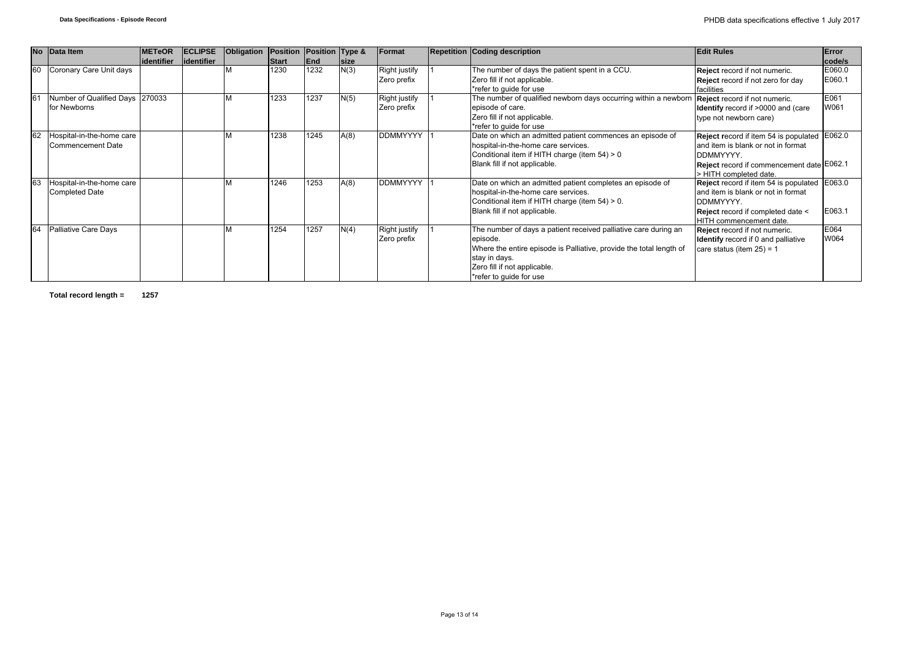|    | No Data Item                    | <b>METeOR</b>     | <b>ECLIPSE</b>    | Obligation   Position   Position   Type & |              |      |              | Format               | <b>Repetition Coding description</b>                                | <b>Edit Rules</b>                            | Error  |
|----|---------------------------------|-------------------|-------------------|-------------------------------------------|--------------|------|--------------|----------------------|---------------------------------------------------------------------|----------------------------------------------|--------|
|    |                                 | <b>identifier</b> | <b>identifier</b> |                                           | <b>Start</b> | End  | <b>Isize</b> |                      |                                                                     |                                              | code/s |
| 60 | Coronary Care Unit days         |                   |                   |                                           | 1230         | 1232 | N(3)         | <b>Right justify</b> | The number of days the patient spent in a CCU.                      | Reject record if not numeric.                | E060.0 |
|    |                                 |                   |                   |                                           |              |      |              | Zero prefix          | Zero fill if not applicable.                                        | Reject record if not zero for day            | E060.1 |
|    |                                 |                   |                   |                                           |              |      |              |                      | *refer to guide for use                                             | facilities                                   |        |
| 61 | Number of Qualified Days 270033 |                   |                   |                                           | 1233         | 1237 | N(5)         | <b>Right justify</b> | The number of qualified newborn days occurring within a newborn     | Reject record if not numeric.                | E061   |
|    | for Newborns                    |                   |                   |                                           |              |      |              | Zero prefix          | episode of care.                                                    | <b>Identify</b> record if >0000 and (care    | W061   |
|    |                                 |                   |                   |                                           |              |      |              |                      | Zero fill if not applicable.                                        | type not newborn care)                       |        |
|    |                                 |                   |                   |                                           |              |      |              |                      | *refer to quide for use                                             |                                              |        |
| 62 | Hospital-in-the-home care       |                   |                   |                                           | 1238         | 1245 | A(8)         | <b>DDMMYYYY</b>      | Date on which an admitted patient commences an episode of           | Reject record if item 54 is populated E062.0 |        |
|    | Commencement Date               |                   |                   |                                           |              |      |              |                      | hospital-in-the-home care services.                                 | and item is blank or not in format           |        |
|    |                                 |                   |                   |                                           |              |      |              |                      | Conditional item if HITH charge (item 54) > 0                       | DDMMYYYY.                                    |        |
|    |                                 |                   |                   |                                           |              |      |              |                      | Blank fill if not applicable.                                       | Reject record if commencement date E062.1    |        |
|    |                                 |                   |                   |                                           |              |      |              |                      |                                                                     | > HITH completed date.                       |        |
| 63 | Hospital-in-the-home care       |                   |                   |                                           | 1246         | 1253 | A(8)         | <b>DDMMYYYY</b>      | Date on which an admitted patient completes an episode of           | Reject record if item 54 is populated E063.0 |        |
|    | Completed Date                  |                   |                   |                                           |              |      |              |                      | hospital-in-the-home care services.                                 | land item is blank or not in format          |        |
|    |                                 |                   |                   |                                           |              |      |              |                      | Conditional item if HITH charge (item 54) > 0.                      | DDMMYYYY.                                    |        |
|    |                                 |                   |                   |                                           |              |      |              |                      | Blank fill if not applicable.                                       | <b>Reject</b> record if completed date <     | E063.1 |
|    |                                 |                   |                   |                                           |              |      |              |                      |                                                                     | HITH commencement date.                      |        |
| 64 | Palliative Care Days            |                   |                   |                                           | 1254         | 1257 | N(4)         | Right justify        | The number of days a patient received palliative care during an     | Reject record if not numeric.                | E064   |
|    |                                 |                   |                   |                                           |              |      |              | Zero prefix          | episode.                                                            | <b>Identify</b> record if 0 and palliative   | W064   |
|    |                                 |                   |                   |                                           |              |      |              |                      | Where the entire episode is Palliative, provide the total length of | care status (item $25$ ) = 1                 |        |
|    |                                 |                   |                   |                                           |              |      |              |                      | stay in days.                                                       |                                              |        |
|    |                                 |                   |                   |                                           |              |      |              |                      | Zero fill if not applicable.                                        |                                              |        |
|    |                                 |                   |                   |                                           |              |      |              |                      | *refer to guide for use                                             |                                              |        |

**Total record length = 1257**